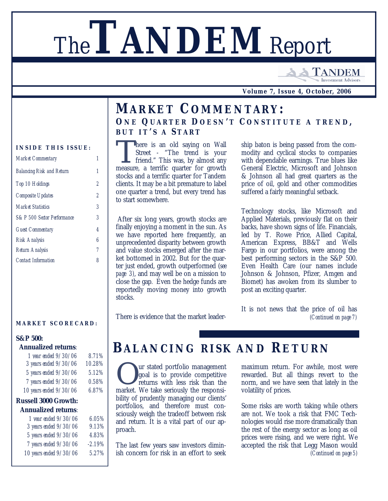# The**TANDEM** Report

**TANDEM Investment Advisors** 

**Volume 7, Issue 4, October, 2006**

### *MARKET COMMENTARY: O N E Q UARTE R D OES N 'T C ONSTITUT E A TREN D , B U T I T 'S A S TART*

There is an old saying on Wall<br>Street - "The trend is your<br>friend." This was, by almost any<br>measure a terrific quarter for growth here is an old saying on Wall Street - "The trend is your measure, a terrific quarter for growth stocks and a terrific quarter for Tandem clients. It may be a bit premature to label one quarter a trend, but every trend has to start somewhere.

 After six long years, growth stocks are finally enjoying a moment in the sun. As we have reported here frequently, an unprecedented disparity between growth and value stocks emerged after the market bottomed in 2002. But for the quarter just ended, growth outperformed (*see page 3)*, and may well be on a mission to close the gap*.* Even the hedge funds are reportedly moving money into growth stocks.

ship baton is being passed from the commodity and cyclical stocks to companies with dependable earnings. True blues like General Electric, Microsoft and Johnson & Johnson all had great quarters as the price of oil, gold and other commodities suffered a fairly meaningful setback.

Technology stocks, like Microsoft and Applied Materials, previously flat on their backs, have shown signs of life. Financials, led by T. Rowe Price, Allied Capital, American Express, BB&T and Wells Fargo in our portfolios, were among the best performing sectors in the S&P 500. Even Health Care (our names include Johnson & Johnson, Pfizer, Amgen and Biomet) has awoken from its slumber to post an exciting quarter.

There is evidence that the market leader-

It is not news that the price of oil has *(Continued on page 7)*

### *BALANCING RISK A ND RETURN*

**O** ur stated portfolio management<br>goal is to provide competitive<br>returns with less risk than the<br>market. We take seriously the responsiur stated portfolio management goal is to provide competitive returns with less risk than the bility of prudently managing our clients' portfolios, and therefore must consciously weigh the tradeoff between risk and return. It is a vital part of our approach.

The last few years saw investors diminish concern for risk in an effort to seek

maximum return. For awhile, most were rewarded. But all things revert to the norm, and we have seen that lately in the volatility of prices.

Some risks are worth taking while others are not. We took a risk that FMC Technologies would rise more dramatically than the rest of the energy sector as long as oil prices were rising, and we were right. We accepted the risk that Legg Mason would *(Continued on page 5)*

#### **INSIDE THIS ISSUE:**

| <b>Market Commentary</b>         | 1 |
|----------------------------------|---|
| <b>Balancing Risk and Return</b> | 1 |
| Top 10 Holdings                  | 2 |
| Composite Updates                | 2 |
| <b>Market Statistics</b>         | 3 |
| S&P 500 Sector Performance       | 3 |
| <b>Guest Commentary</b>          | 4 |
| Risk Analysis                    | 6 |
| Return Analysis                  | 7 |
| <b>Contact Information</b>       | 8 |
|                                  |   |

#### **MARKET SCORECARD :**

#### *S&P 500:*

#### *Annualized returns:*

| 1 year ended 9/30/06   | 8.71%  |
|------------------------|--------|
| 3 years ended 9/30/06  | 10.28% |
| 5 years ended 9/30/06  | 5.12%  |
| 7 years ended 9/30/06  | 0.58%  |
| 10 years ended 9/30/06 | 6.87%  |

#### *Russell 3000 Growth: Annualized returns:*

| 1 year ended 9/30/06   | 6.05%    |
|------------------------|----------|
| 3 years ended 9/30/06  | 9.13%    |
| 5 years ended 9/30/06  | 4.83%    |
| 7 years ended 9/30/06  | $-2.19%$ |
| 10 years ended 9/30/06 | 5.27%    |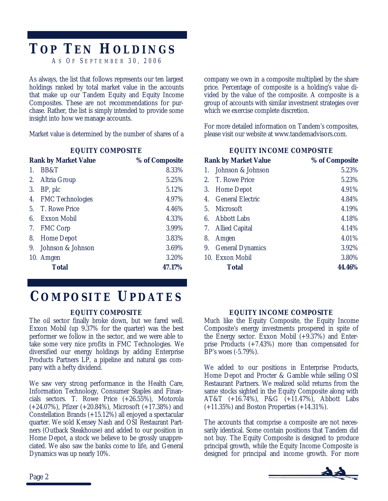## *TOP TEN HOLDINGS*

*A S O F S EPTEMBE R 30, 200 6*

As always, the list that follows represents our ten largest holdings ranked by total market value in the accounts that make up our Tandem Equity and Equity Income Composites. These are not recommendations for purchase. Rather, the list is simply intended to provide some insight into how we manage accounts.

Market value is determined by the number of shares of a

| <b>EQUITY COMPOSITE</b> |  |
|-------------------------|--|
|-------------------------|--|

|    | <b>Rank by Market Value</b> | % of Composite |
|----|-----------------------------|----------------|
| 1. | BB&T                        | 8.33%          |
| 2. | Altria Group                | 5.25%          |
| 3. | BP, plc                     | 5.12%          |
| 4. | <b>FMC</b> Technologies     | 4.97%          |
|    | 5. T. Rowe Price            | 4.46%          |
| 6. | Exxon Mobil                 | 4.33%          |
| 7. | <b>FMC Corp</b>             | 3.99%          |
| 8. | <b>Home Depot</b>           | 3.83%          |
| 9. | Johnson & Johnson           | 3.69%          |
|    | 10. Amgen                   | 3.20%          |
|    | <b>Total</b>                | 47.17%         |
|    |                             |                |

### *COMPOSITE UPDATES*

### **EQUITY COMPOSITE**

The oil sector finally broke down, but we fared well. Exxon Mobil (up 9.37% for the quarter) was the best performer we follow in the sector, and we were able to take some very nice profits in FMC Technologies. We diversified our energy holdings by adding Enterprise Products Partners LP, a pipeline and natural gas company with a hefty dividend.

We saw very strong performance in the Health Care, Information Technology, Consumer Staples and Financials sectors. T. Rowe Price (+26.55%), Motorola (+24.07%), Pfizer (+20.84%), Microsoft (+17.38%) and Constellation Brands (+15.12%) all enjoyed a spectacular quarter. We sold Kensey Nash and OSI Restaurant Partners (Outback Steakhouse) and added to our position in Home Depot, a stock we believe to be grossly unappreciated. We also saw the banks come to life, and General Dynamics was up nearly 10%.

company we own in a composite multiplied by the share price. Percentage of composite is a holding's value divided by the value of the composite. A composite is a group of accounts with similar investment strategies over which we exercise complete discretion.

For more detailed information on Tandem's composites, please visit our website at www.tandemadvisors.com.

| <b>EQUITY INCOME COMPOSITE</b> |  |
|--------------------------------|--|
|                                |  |

|                  | <b>Rank by Market Value</b> | % of Composite |
|------------------|-----------------------------|----------------|
| 1.               | Johnson & Johnson           | 5.23%          |
|                  | 2. T. Rowe Price            | 5.23%          |
|                  | 3. Home Depot               | 4.91%          |
| $\overline{4}$ . | <b>General Electric</b>     | 4.84%          |
| 5 <sub>1</sub>   | Microsoft                   | 4.19%          |
|                  | 6. Abbott Labs              | 4.18%          |
|                  | 7. Allied Capital           | 4.14%          |
| 8.               | Amgen                       | 4.01%          |
|                  | 9. General Dynamics         | 3.92%          |
|                  | 10. Exxon Mobil             | 3.80%          |
|                  | <b>Total</b>                | 44.46%         |
|                  |                             |                |

#### **EQUITY INCOME COMPOSITE**

Much like the Equity Composite, the Equity Income Composite's energy investments prospered in spite of the Energy sector. Exxon Mobil (+9.37%) and Enterprise Products (+7.43%) more than compensated for BP's woes (-5.79%).

We added to our positions in Enterprise Products, Home Depot and Procter & Gamble while selling OSI Restaurant Partners. We realized solid returns from the same stocks sighted in the Equity Composite along with AT&T (+16.74%), P&G (+11.47%), Abbott Labs (+11.35%) and Boston Properties (+14.31%).

The accounts that comprise a composite are not necessarily identical. Some contain positions that Tandem did not buy. The Equity Composite is designed to produce principal growth, while the Equity Income Composite is designed for principal and income growth. For more

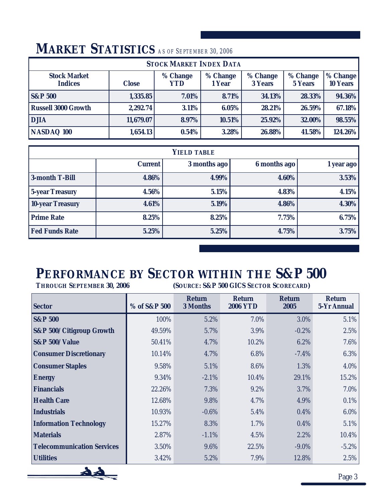#### **Stock Market Indices Close % Change YTD % Change 1 Year % Change 3 Years % Change 5 Years % Change 10 Years S&P 500 1,335.85 7.01% 8.71% 34.13% 28.33% 94.36% Russell 3000 Growth 2,292.74 3.11% 6.05% 28.21% 26.59% 67.18% DJIA 11,679.07 8.97% 10.51% 25.92% 32.00% 98.55% STOCK MARKET INDEX DATA NASDAQ 100 1,654.13 0.54% 3.28% 26.88% 41.58% 124.26%**

### *MARKET STATISTICS AS OF SEPTEMBER 30, 2006*

| <b>YIELD TABLE</b>      |                |              |              |            |  |  |  |  |  |
|-------------------------|----------------|--------------|--------------|------------|--|--|--|--|--|
|                         | <b>Current</b> | 3 months ago | 6 months ago | 1 year ago |  |  |  |  |  |
| 3-month T-Bill          | 4.86%          | 4.99%        | 4.60%        | 3.53%      |  |  |  |  |  |
| <b>5-year Treasury</b>  | 4.56%          | 5.15%        | 4.83%        | 4.15%      |  |  |  |  |  |
| <b>10-year Treasury</b> | $4.61\%$       | 5.19%        | 4.86%        | 4.30%      |  |  |  |  |  |
| <b>Prime Rate</b>       | 8.25%          | 8.25%        | $7.75\%$     | 6.75%      |  |  |  |  |  |
| <b>Fed Funds Rate</b>   | 5.25%          | 5.25%        | 4.75%        | 3.75%      |  |  |  |  |  |

# *PERFORMANCE BY SECTOR WITHIN THE S&P 500*

*THROUGH SEPTEMBER 30, 2006 (SOURCE: S&P 500 GICS SECTOR SCORECARD)*

| <b>Sector</b>                       | % of S&P 500 | <b>Return</b><br><b>3 Months</b> | <b>Return</b><br><b>2006 YTD</b> | <b>Return</b><br>2005 | <b>Return</b><br><b>5-Yr Annual</b> |
|-------------------------------------|--------------|----------------------------------|----------------------------------|-----------------------|-------------------------------------|
| <b>S&amp;P 500</b>                  | 100%         | 5.2%                             | 7.0%                             | 3.0%                  | 5.1%                                |
| <b>S&amp;P 500/Citigroup Growth</b> | 49.59%       | 5.7%                             | 3.9%                             | $-0.2%$               | 2.5%                                |
| <b>S&amp;P 500/Value</b>            | 50.41%       | 4.7%                             | 10.2%                            | 6.2%                  | 7.6%                                |
| <b>Consumer Discretionary</b>       | 10.14%       | 4.7%                             | 6.8%                             | $-7.4%$               | 6.3%                                |
| <b>Consumer Staples</b>             | 9.58%        | 5.1%                             | 8.6%                             | 1.3%                  | 4.0%                                |
| <b>Energy</b>                       | 9.34%        | $-2.1%$                          | 10.4%                            | 29.1%                 | 15.2%                               |
| <b>Financials</b>                   | 22.26%       | 7.3%                             | 9.2%                             | 3.7%                  | 7.0%                                |
| <b>Health Care</b>                  | 12.68%       | 9.8%                             | 4.7%                             | 4.9%                  | 0.1%                                |
| <b>Industrials</b>                  | 10.93%       | $-0.6\%$                         | 5.4%                             | 0.4%                  | $6.0\%$                             |
| <b>Information Technology</b>       | 15.27%       | 8.3%                             | 1.7%                             | 0.4%                  | 5.1%                                |
| <b>Materials</b>                    | 2.87%        | $-1.1\%$                         | 4.5%                             | 2.2%                  | 10.4%                               |
| <b>Telecommunication Services</b>   | 3.50%        | 9.6%                             | 22.5%                            | $-9.0\%$              | $-5.2\%$                            |
| <b>Utilities</b>                    | 3.42%        | 5.2%                             | 7.9%                             | 12.8%                 | 2.5%                                |

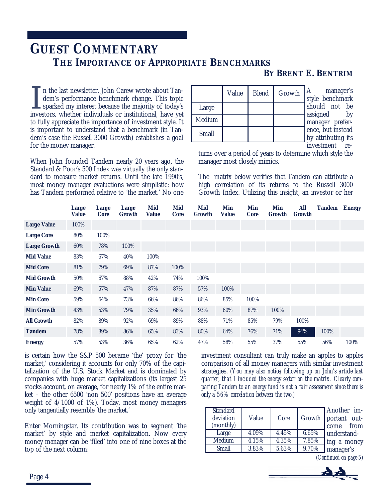### *GUEST COMMENTARY THE IMPORTANCE OF APPROPRIATE BENCHMARKS*

### *BY BRENT E. BENTRIM*

In the last newsletter, John Carew wrote about Tandem's performance benchmark change. This topic sparked my interest because the majority of today's investors, whether individuals or institutional, have yet n the last newsletter, John Carew wrote about Tandem's performance benchmark change. This topic sparked my interest because the majority of today's to fully appreciate the importance of investment style. It is important to understand that a benchmark (in Tandem's case the Russell 3000 Growth) establishes a goal for the money manager.

When John founded Tandem nearly 20 years ago, the Standard & Poor's 500 Index was virtually the only standard to measure market returns. Until the late 1990's, most money manager evaluations were simplistic: how has Tandem performed relative to 'the market.' No one

|              | Value | <b>Blend</b> | Growth | A<br>styl  |
|--------------|-------|--------------|--------|------------|
| Large        |       |              |        | shc        |
| Medium       |       |              |        | assi<br>ma |
| <b>Small</b> |       |              |        | enc        |

manager's le benchmark buld not be igned by nager prefere. but instead attributing its

investment re-

turns over a period of years to determine which style the manager most closely mimics.

The matrix below verifies that Tandem can attribute a high correlation of its returns to the Russell 3000 Growth Index. Utilizing this insight, an investor or her

|                     | Large<br><b>Value</b> | Large<br><b>Core</b> | <b>Large</b><br>Growth | Mid<br><b>Value</b> | <b>Mid</b><br><b>Core</b> | Mid<br>Growth | Min<br>Value | <b>Min</b><br><b>Core</b> | Min<br>Growth | All<br>Growth | <b>Tandem Energy</b> |      |
|---------------------|-----------------------|----------------------|------------------------|---------------------|---------------------------|---------------|--------------|---------------------------|---------------|---------------|----------------------|------|
| <b>Large Value</b>  | 100%                  |                      |                        |                     |                           |               |              |                           |               |               |                      |      |
| <b>Large Core</b>   | 80%                   | 100%                 |                        |                     |                           |               |              |                           |               |               |                      |      |
| <b>Large Growth</b> | 60%                   | 78%                  | 100%                   |                     |                           |               |              |                           |               |               |                      |      |
| <b>Mid Value</b>    | 83%                   | 67%                  | 40%                    | 100%                |                           |               |              |                           |               |               |                      |      |
| <b>Mid Core</b>     | 81%                   | 79%                  | 69%                    | 87%                 | 100%                      |               |              |                           |               |               |                      |      |
| <b>Mid Growth</b>   | 50%                   | 67%                  | 88%                    | 42%                 | 74%                       | 100%          |              |                           |               |               |                      |      |
| <b>Min Value</b>    | 69%                   | 57%                  | 47%                    | 87%                 | 87%                       | 57%           | 100%         |                           |               |               |                      |      |
| <b>Min Core</b>     | 59%                   | 64%                  | 73%                    | 66%                 | 86%                       | 86%           | 85%          | 100%                      |               |               |                      |      |
| <b>Min Growth</b>   | 43%                   | 53%                  | 79%                    | 35%                 | 66%                       | 93%           | 60%          | 87%                       | 100%          |               |                      |      |
| <b>All Growth</b>   | 82%                   | 89%                  | 92%                    | 69%                 | 89%                       | 88%           | 71%          | 85%                       | 79%           | 100%          |                      |      |
| <b>Tandem</b>       | 78%                   | 89%                  | 86%                    | 65%                 | 83%                       | 80%           | 64%          | 76%                       | 71%           | 94%           | 100%                 |      |
| <b>Energy</b>       | 57%                   | 53%                  | 36%                    | 65%                 | 62%                       | 47%           | 58%          | 55%                       | 37%           | 55%           | 56%                  | 100% |

is certain how the S&P 500 became 'the' proxy for 'the market,' considering it accounts for only 70% of the capitalization of the U.S. Stock Market and is dominated by companies with huge market capitalizations (its largest 25 stocks account, on average, for nearly 1% of the entire market – the other 6500 'non 500' positions have an average weight of 4/1000 of 1%). Today, most money managers only tangentially resemble 'the market.'

Enter Morningstar. Its contribution was to segment 'the market' by style and market capitalization. Now every money manager can be 'filed' into one of nine boxes at the top of the next column:

investment consultant can truly make an apples to apples comparison of all money managers with similar investment strategies. *(You may also notice, following up on John's article last quarter, that I included the energy sector on the matrix. Clearly comparing Tandem to an energy fund is not a fair assessment since there is only a 56% correlation between the two.)* 

| <b>Standard</b><br>deviation<br>(monthly) | Value | Core  |       | Another im-<br>Growth portant out-<br>come from |
|-------------------------------------------|-------|-------|-------|-------------------------------------------------|
| Large                                     | 4.09% | 4.45% | 6.69% | understand-                                     |
| Medium                                    | 4.15% | 4.35% | 7.85% | ing a money                                     |
| <b>Small</b>                              | 3.83% | 5.63% | 9.70% | manager's                                       |

*(Continued on page 5)*

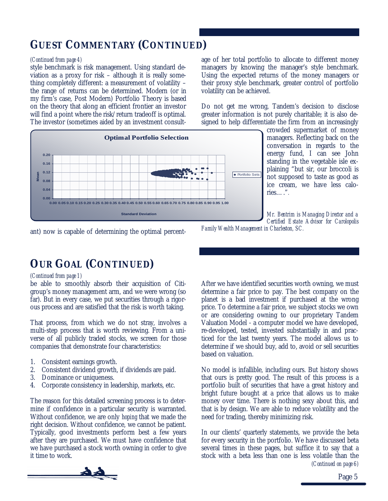### *GUEST COMMENTARY (CONTINUED)*

style benchmark is risk management. Using standard deviation as a proxy for risk – although it is really something completely different: a measurement of volatility – the range of returns can be determined. Modern (or in my firm's case, Post Modern) Portfolio Theory is based on the theory that along an efficient frontier an investor will find a point where the risk/return tradeoff is optimal. The investor (sometimes aided by an investment consult-

*(Continued from page 4)* age of her total portfolio to allocate to different money managers by knowing the manager's style benchmark. Using the expected returns of the money managers or their proxy style benchmark, greater control of portfolio volatility can be achieved.

> Do not get me wrong, Tandem's decision to disclose greater information is not purely charitable; it is also designed to help differentiate the firm from an increasingly



crowded supermarket of money managers. Reflecting back on the conversation in regards to the energy fund, I can see John standing in the vegetable isle explaining "but sir, our broccoli is not supposed to taste as good as ice cream, we have less calories… ."*.*

*Mr. Bentrim is Managing Director and a Certified Estate Advisor for Carolopolis*

ant) now is capable of determining the optimal percent-

*Family Wealth Management in Charleston, SC.* 

### *OUR GOAL (CONTINUED)*

#### *(Continued from page 1)*

be able to smoothly absorb their acquisition of Citigroup's money management arm, and we were wrong (so far). But in every case, we put securities through a rigorous process and are satisfied that the risk is worth taking.

That process, from which we do not stray, involves a multi-step process that is worth reviewing. From a universe of all publicly traded stocks, we screen for those companies that demonstrate four characteristics:

- 1. Consistent earnings growth.
- 2. Consistent dividend growth, if dividends are paid.
- 3. Dominance or uniqueness.
- 4. Corporate consistency in leadership, markets, etc.

The reason for this detailed screening process is to determine if confidence in a particular security is warranted. Without confidence, we are only *hoping* that we made the right decision. Without confidence, we cannot be patient. Typically, good investments perform best a few years after they are purchased. We must have confidence that we have purchased a stock worth owning in order to give it time to work.

After we have identified securities worth owning, we must determine a fair price to pay. The best company on the planet is a bad investment if purchased at the wrong price. To determine a fair price, we subject stocks we own or are considering owning to our proprietary Tandem Valuation Model - a computer model we have developed, re-developed, tested, invested substantially in and practiced for the last twenty years. The model allows us to determine if we should buy, add to, avoid or sell securities based on valuation.

No model is infallible, including ours. But history shows that ours is pretty good. The result of this process is a portfolio built of securities that have a great history and bright future bought at a price that allows us to make money over time. There is nothing sexy about this, and that is by design. We are able to reduce volatility and the need for trading, thereby minimizing risk.

In our clients' quarterly statements, we provide the beta for every security in the portfolio. We have discussed beta several times in these pages, but suffice it to say that a stock with a beta less than one is less volatile than the *(Continued on page 6)*

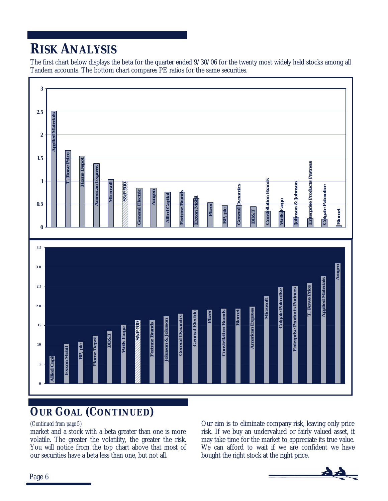### *RISK ANALYSIS*

The first chart below displays the beta for the quarter ended 9/30/06 for the twenty most widely held stocks among all Tandem accounts. The bottom chart compares PE ratios for the same securities.



### *OUR GOAL (CONTINUED)*

market and a stock with a beta greater than one is more volatile. The greater the volatility, the greater the risk. You will notice from the top chart above that most of our securities have a beta less than one, but not all.

*(Continued from page 5)* Our aim is to eliminate company risk, leaving only price risk. If we buy an undervalued or fairly valued asset, it may take time for the market to appreciate its true value. We can afford to wait if we are confident we have bought the right stock at the right price.

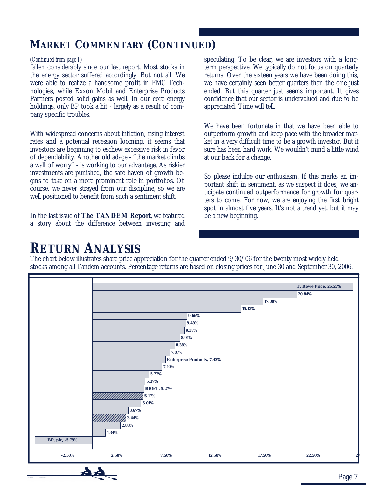### *MARKET COMMENTARY (CONTINUED)*

fallen considerably since our last report. Most stocks in the energy sector suffered accordingly. But not all. We were able to realize a handsome profit in FMC Technologies, while Exxon Mobil and Enterprise Products Partners posted solid gains as well. In our core energy holdings, only BP took a hit - largely as a result of company specific troubles.

With widespread concerns about inflation, rising interest rates and a potential recession looming, it seems that investors are beginning to eschew excessive risk in favor of dependability. Another old adage - "the market climbs a wall of worry" - is working to our advantage. As riskier investments are punished, the safe haven of growth begins to take on a more prominent role in portfolios. Of course, we never strayed from our discipline, so we are well positioned to benefit from such a sentiment shift.

In the last issue of *The TANDEM Report*, we featured a story about the difference between investing and

*(Continued from page 1)* speculating. To be clear, we are investors with a longterm perspective. We typically do not focus on quarterly returns. Over the sixteen years we have been doing this, we have certainly seen better quarters than the one just ended. But this quarter just seems important. It gives confidence that our sector is undervalued and due to be appreciated. Time will tell.

> We have been fortunate in that we have been able to outperform growth and keep pace with the broader market in a very difficult time to be a growth investor. But it sure has been hard work. We wouldn't mind a little wind at our back for a change.

> So please indulge our enthusiasm. If this marks an important shift in sentiment, as we suspect it does, we anticipate continued outperformance for growth for quarters to come. For now, we are enjoying the first bright spot in almost five years. It's not a trend yet, but it may be a new beginning.

### *RETURN ANALYSIS*

The chart below illustrates share price appreciation for the quarter ended 9/30/06 for the twenty most widely held stocks among all Tandem accounts. Percentage returns are based on closing prices for June 30 and September 30, 2006.